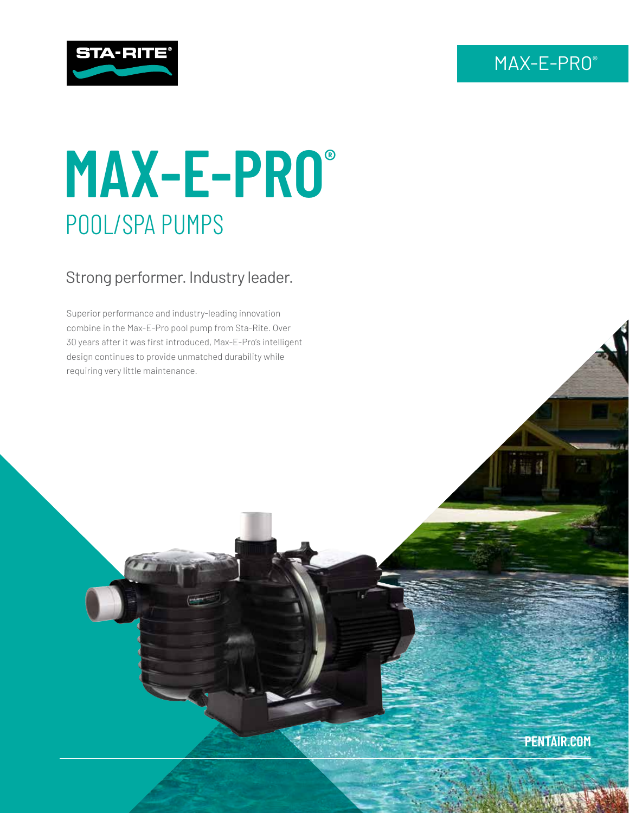## MAX-E-PRO®



# **MAX-E-PRO®** POOL/SPA PUMPS

### Strong performer. Industry leader.

Superior performance and industry-leading innovation combine in the Max-E-Pro pool pump from Sta-Rite. Over 30 years after it was first introduced, Max-E-Pro's intelligent design continues to provide unmatched durability while requiring very little maintenance.

**PENTAIR.COM**